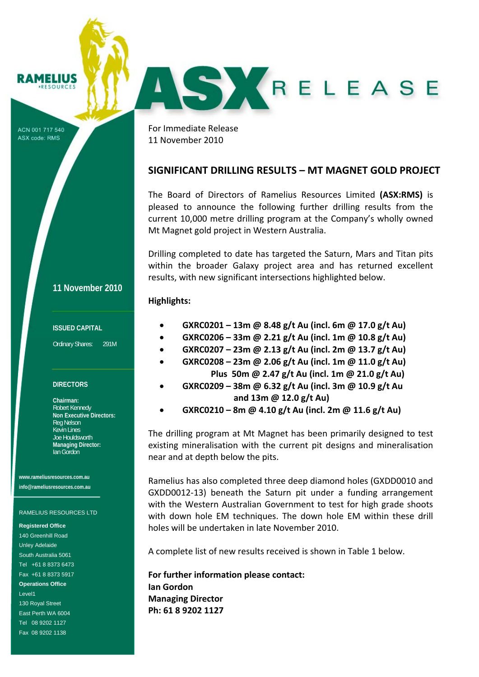**RAMELIUS** 

ACN 001 717 540 ASX code: RMS

For Immediate Release 11 November 2010

## **SIGNIFICANT DRILLING RESULTS – MT MAGNET GOLD PROJECT**

AS KRELEASE

The Board of Directors of Ramelius Resources Limited **(ASX:RMS)** is pleased to announce the following further drilling results from the current 10,000 metre drilling program at the Company's wholly owned Mt Magnet gold project in Western Australia.

Drilling completed to date has targeted the Saturn, Mars and Titan pits within the broader Galaxy project area and has returned excellent results, with new significant intersections highlighted below.

## **Highlights:**

- **GXRC0201 – 13m @ 8.48 g/t Au (incl. 6m @ 17.0 g/t Au)**
- **GXRC0206 – 33m @ 2.21 g/t Au (incl. 1m @ 10.8 g/t Au)**
- **GXRC0207 – 23m @ 2.13 g/t Au (incl. 2m @ 13.7 g/t Au)**
- **GXRC0208 – 23m @ 2.06 g/t Au (incl. 1m @ 11.0 g/t Au)**
	- **Plus 50m @ 2.47 g/t Au (incl. 1m @ 21.0 g/t Au)**
- **GXRC0209 – 38m @ 6.32 g/t Au (incl. 3m @ 10.9 g/t Au and 13m @ 12.0 g/t Au)**
- **GXRC0210 – 8m @ 4.10 g/t Au (incl. 2m @ 11.6 g/t Au)**

The drilling program at Mt Magnet has been primarily designed to test existing mineralisation with the current pit designs and mineralisation near and at depth below the pits.

Ramelius has also completed three deep diamond holes (GXDD0010 and GXDD0012‐13) beneath the Saturn pit under a funding arrangement with the Western Australian Government to test for high grade shoots with down hole EM techniques. The down hole EM within these drill holes will be undertaken in late November 2010.

A complete list of new results received is shown in Table 1 below.

**For further information please contact: Ian Gordon Managing Director Ph: 61 8 9202 1127**

## **11 November 2010**

#### **ISSUED CAPITAL**

Ordinary Shares: 291M

### **DIRECTORS**

**Chairman:**  Robert Kennedy **Non Executive Directors:**  Reg Nelson Kevin Lines Joe Houldsworth **Managing Director:**  Ian Gordon

**www.rameliusresources.com.au info@rameliusresources.com.au** 

#### RAMELIUS RESOURCES LTD

**Registered Office**  140 Greenhill Road Unley Adelaide South Australia 5061 Tel +61 8 8373 6473 Fax +61 8 8373 5917 **Operations Office**  Level1 130 Royal Street East Perth WA 6004 Tel 08 9202 1127 Fax 08 9202 1138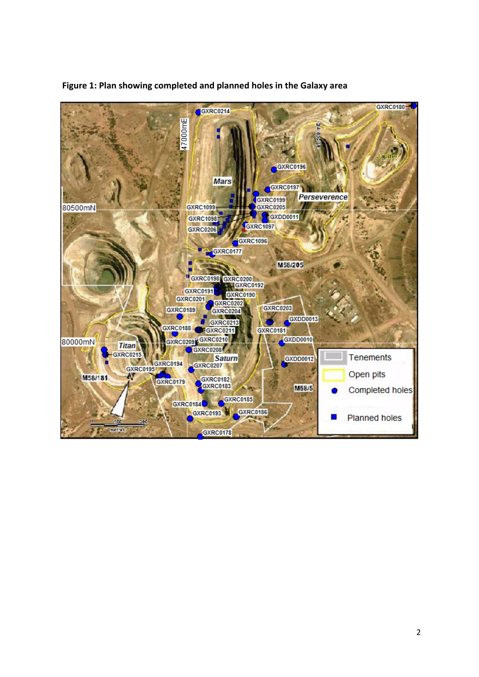

 **Figure 1: Plan showing completed and planned holes in the Galaxy area**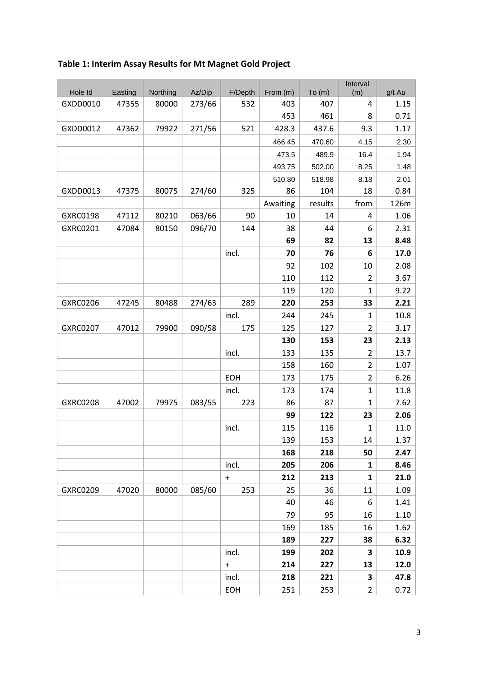# **Table 1: Interim Assay Results for Mt Magnet Gold Project**

|                 |         |          |        |            |          |         | Interval       |        |
|-----------------|---------|----------|--------|------------|----------|---------|----------------|--------|
| Hole Id         | Easting | Northing | Az/Dip | F/Depth    | From (m) | To (m)  | (m)            | g/t Au |
| GXDD0010        | 47355   | 80000    | 273/66 | 532        | 403      | 407     | 4              | 1.15   |
|                 |         |          |        |            | 453      | 461     | 8              | 0.71   |
| GXDD0012        | 47362   | 79922    | 271/56 | 521        | 428.3    | 437.6   | 9.3            | 1.17   |
|                 |         |          |        |            | 466.45   | 470.60  | 4.15           | 2.30   |
|                 |         |          |        |            | 473.5    | 489.9   | 16.4           | 1.94   |
|                 |         |          |        |            | 493.75   | 502.00  | 8.25           | 1.48   |
|                 |         |          |        |            | 510.80   | 518.98  | 8.18           | 2.01   |
| GXDD0013        | 47375   | 80075    | 274/60 | 325        | 86       | 104     | 18             | 0.84   |
|                 |         |          |        |            | Awaiting | results | from           | 126m   |
| GXRC0198        | 47112   | 80210    | 063/66 | 90         | 10       | 14      | 4              | 1.06   |
| GXRC0201        | 47084   | 80150    | 096/70 | 144        | 38       | 44      | 6              | 2.31   |
|                 |         |          |        |            | 69       | 82      | 13             | 8.48   |
|                 |         |          |        | incl.      | 70       | 76      | 6              | 17.0   |
|                 |         |          |        |            | 92       | 102     | 10             | 2.08   |
|                 |         |          |        |            | 110      | 112     | 2              | 3.67   |
|                 |         |          |        |            | 119      | 120     | $\mathbf{1}$   | 9.22   |
| GXRC0206        | 47245   | 80488    | 274/63 | 289        | 220      | 253     | 33             | 2.21   |
|                 |         |          |        | incl.      | 244      | 245     | $\mathbf{1}$   | 10.8   |
| <b>GXRC0207</b> | 47012   | 79900    | 090/58 | 175        | 125      | 127     | $\overline{2}$ | 3.17   |
|                 |         |          |        |            | 130      | 153     | 23             | 2.13   |
|                 |         |          |        | incl.      | 133      | 135     | $\overline{2}$ | 13.7   |
|                 |         |          |        |            | 158      | 160     | $\overline{2}$ | 1.07   |
|                 |         |          |        | EOH        | 173      | 175     | $\overline{2}$ | 6.26   |
|                 |         |          |        | incl.      | 173      | 174     | $\mathbf{1}$   | 11.8   |
| <b>GXRC0208</b> | 47002   | 79975    | 083/55 | 223        | 86       | 87      | $\mathbf{1}$   | 7.62   |
|                 |         |          |        |            | 99       | 122     | 23             | 2.06   |
|                 |         |          |        | incl.      | 115      | 116     | $\mathbf{1}$   | 11.0   |
|                 |         |          |        |            | 139      | 153     | 14             | 1.37   |
|                 |         |          |        |            | 168      | 218     | 50             | 2.47   |
|                 |         |          |        | incl.      | 205      | 206     | 1              | 8.46   |
|                 |         |          |        | $+$        | 212      | 213     | 1              | 21.0   |
| GXRC0209        | 47020   | 80000    | 085/60 | 253        | 25       | 36      | 11             | 1.09   |
|                 |         |          |        |            | 40       | 46      | 6              | 1.41   |
|                 |         |          |        |            | 79       | 95      | 16             | 1.10   |
|                 |         |          |        |            | 169      | 185     | 16             | 1.62   |
|                 |         |          |        |            | 189      | 227     | 38             | 6.32   |
|                 |         |          |        | incl.      | 199      | 202     | 3              | 10.9   |
|                 |         |          |        | $+$        | 214      | 227     | 13             | 12.0   |
|                 |         |          |        | incl.      | 218      | 221     | 3              | 47.8   |
|                 |         |          |        | <b>EOH</b> | 251      | 253     | $\overline{2}$ | 0.72   |